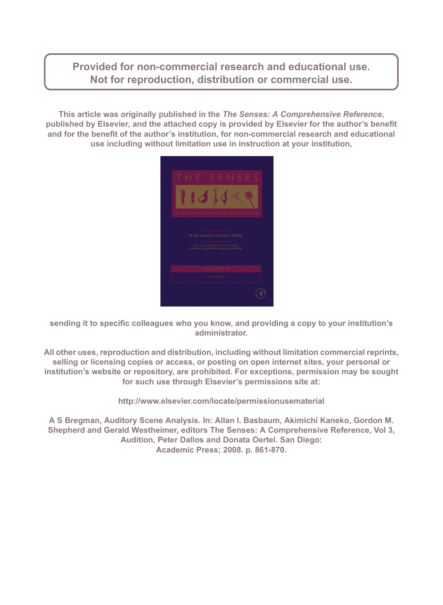Provided for non-commercial research and educational use. Not for reproduction, distribution or commercial use.

This article was originally published in the The Senses: A Comprehensive Reference, published by Elsevier, and the attached copy is provided by Elsevier for the author's benefit and for the benefit of the author's institution, for non-commercial research and educational use including without limitation use in instruction at your institution,



sending it to specific colleagues who you know, and providing a copy to your institution's administrator.

All other uses, reproduction and distribution, including without limitation commercial reprints, selling or licensing copies or access, or posting on open internet sites, your personal or institution's website or repository, are prohibited. For exceptions, permission may be sought for such use through Elsevier's permissions site at:

http://www.elsevier.com/locate/permissionusematerial

A S Bregman, Auditory Scene Analysis. In: Allan I. Basbaum, Akimichi Kaneko, Gordon M. Shepherd and Gerald Westheimer, editors The Senses: A Comprehensive Reference, Vol 3, Audition, Peter Dallos and Donata Oertel. San Diego: Academic Press; 2008. p. 861-870.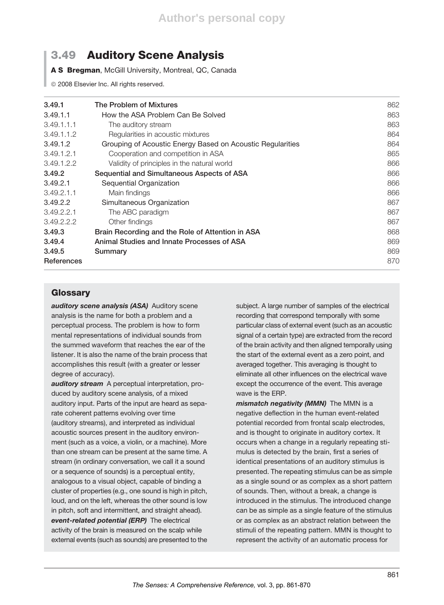# 3.49 Auditory Scene Analysis

A S Bregman, McGill University, Montreal, QC, Canada

<sup>©</sup> 2008 Elsevier Inc. All rights reserved.

| 3.49.1     | The Problem of Mixtures                                    | 862 |
|------------|------------------------------------------------------------|-----|
| 3,49,1,1   | How the ASA Problem Can Be Solved                          | 863 |
| 3.49.1.1.1 | The auditory stream                                        | 863 |
| 3.49.1.1.2 | Regularities in acoustic mixtures                          | 864 |
| 3.49.1.2   | Grouping of Acoustic Energy Based on Acoustic Regularities | 864 |
| 3.49.1.2.1 | Cooperation and competition in ASA                         | 865 |
| 3.49.1.2.2 | Validity of principles in the natural world                | 866 |
| 3.49.2     | Sequential and Simultaneous Aspects of ASA                 | 866 |
| 3,49.2.1   | Sequential Organization                                    | 866 |
| 3.49.2.1.1 | Main findings                                              | 866 |
| 3.49.2.2   | Simultaneous Organization                                  | 867 |
| 3.49.2.2.1 | The ABC paradigm                                           | 867 |
| 3.49.2.2.2 | Other findings                                             | 867 |
| 3.49.3     | Brain Recording and the Role of Attention in ASA           | 868 |
| 3.49.4     | Animal Studies and Innate Processes of ASA                 | 869 |
| 3.49.5     | Summary                                                    | 869 |
| References |                                                            | 870 |

# **Glossarv**

auditory scene analysis (ASA) Auditory scene analysis is the name for both a problem and a perceptual process. The problem is how to form mental representations of individual sounds from the summed waveform that reaches the ear of the listener. It is also the name of the brain process that accomplishes this result (with a greater or lesser degree of accuracy).

auditory stream A perceptual interpretation, produced by auditory scene analysis, of a mixed auditory input. Parts of the input are heard as separate coherent patterns evolving over time (auditory streams), and interpreted as individual acoustic sources present in the auditory environment (such as a voice, a violin, or a machine). More than one stream can be present at the same time. A stream (in ordinary conversation, we call it a sound or a sequence of sounds) is a perceptual entity, analogous to a visual object, capable of binding a cluster of properties (e.g., one sound is high in pitch, loud, and on the left, whereas the other sound is low in pitch, soft and intermittent, and straight ahead). event-related potential (ERP) The electrical activity of the brain is measured on the scalp while external events (such as sounds) are presented to the subject. A large number of samples of the electrical recording that correspond temporally with some particular class of external event (such as an acoustic signal of a certain type) are extracted from the record of the brain activity and then aligned temporally using the start of the external event as a zero point, and averaged together. This averaging is thought to eliminate all other influences on the electrical wave except the occurrence of the event. This average wave is the ERP.

mismatch negativity (MMN) The MMN is a negative deflection in the human event-related potential recorded from frontal scalp electrodes, and is thought to originate in auditory cortex. It occurs when a change in a regularly repeating stimulus is detected by the brain, first a series of identical presentations of an auditory stimulus is presented. The repeating stimulus can be as simple as a single sound or as complex as a short pattern of sounds. Then, without a break, a change is introduced in the stimulus. The introduced change can be as simple as a single feature of the stimulus or as complex as an abstract relation between the stimuli of the repeating pattern. MMN is thought to represent the activity of an automatic process for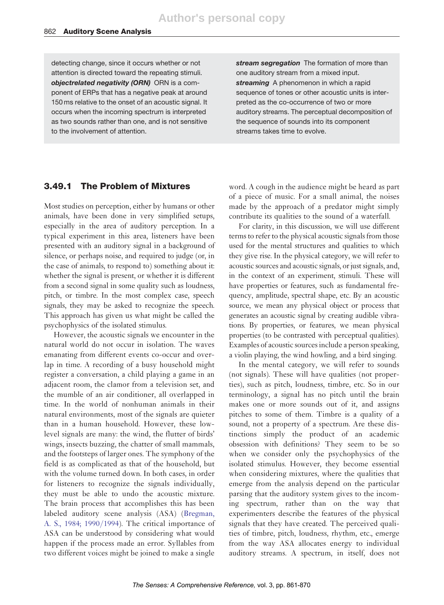detecting change, since it occurs whether or not attention is directed toward the repeating stimuli. objectrelated negativity (ORN) ORN is a component of ERPs that has a negative peak at around 150 ms relative to the onset of an acoustic signal. It occurs when the incoming spectrum is interpreted as two sounds rather than one, and is not sensitive to the involvement of attention.

stream segregation The formation of more than one auditory stream from a mixed input. streaming A phenomenon in which a rapid sequence of tones or other acoustic units is interpreted as the co-occurrence of two or more auditory streams. The perceptual decomposition of the sequence of sounds into its component streams takes time to evolve.

#### 3.49.1 The Problem of Mixtures

Most studies on perception, either by humans or other animals, have been done in very simplified setups, especially in the area of auditory perception. In a typical experiment in this area, listeners have been presented with an auditory signal in a background of silence, or perhaps noise, and required to judge (or, in the case of animals, to respond to) something about it: whether the signal is present, or whether it is different from a second signal in some quality such as loudness, pitch, or timbre. In the most complex case, speech signals, they may be asked to recognize the speech. This approach has given us what might be called the psychophysics of the isolated stimulus.

However, the acoustic signals we encounter in the natural world do not occur in isolation. The waves emanating from different events co-occur and overlap in time. A recording of a busy household might register a conversation, a child playing a game in an adjacent room, the clamor from a television set, and the mumble of an air conditioner, all overlapped in time. In the world of nonhuman animals in their natural environments, most of the signals are quieter than in a human household. However, these lowlevel signals are many: the wind, the flutter of birds' wings, insects buzzing, the chatter of small mammals, and the footsteps of larger ones. The symphony of the field is as complicated as that of the household, but with the volume turned down. In both cases, in order for listeners to recognize the signals individually, they must be able to undo the acoustic mixture. The brain process that accomplishes this has been labeled auditory scene analysis (ASA) ([Bregman,](#page-10-0) [A. S., 1984; 1990/1994\)](#page-10-0). The critical importance of ASA can be understood by considering what would happen if the process made an error. Syllables from two different voices might be joined to make a single word. A cough in the audience might be heard as part of a piece of music. For a small animal, the noises made by the approach of a predator might simply contribute its qualities to the sound of a waterfall.

For clarity, in this discussion, we will use different terms to refer to the physical acoustic signals from those used for the mental structures and qualities to which they give rise. In the physical category, we will refer to acoustic sources and acoustic signals, or just signals, and, in the context of an experiment, stimuli. These will have properties or features, such as fundamental frequency, amplitude, spectral shape, etc. By an acoustic source, we mean any physical object or process that generates an acoustic signal by creating audible vibrations. By properties, or features, we mean physical properties (to be contrasted with perceptual qualities). Examples of acoustic sources include a person speaking, a violin playing, the wind howling, and a bird singing.

In the mental category, we will refer to sounds (not signals). These will have qualities (not properties), such as pitch, loudness, timbre, etc. So in our terminology, a signal has no pitch until the brain makes one or more sounds out of it, and assigns pitches to some of them. Timbre is a quality of a sound, not a property of a spectrum. Are these distinctions simply the product of an academic obsession with definitions? They seem to be so when we consider only the psychophysics of the isolated stimulus. However, they become essential when considering mixtures, where the qualities that emerge from the analysis depend on the particular parsing that the auditory system gives to the incoming spectrum, rather than on the way that experimenters describe the features of the physical signals that they have created. The perceived qualities of timbre, pitch, loudness, rhythm, etc., emerge from the way ASA allocates energy to individual auditory streams. A spectrum, in itself, does not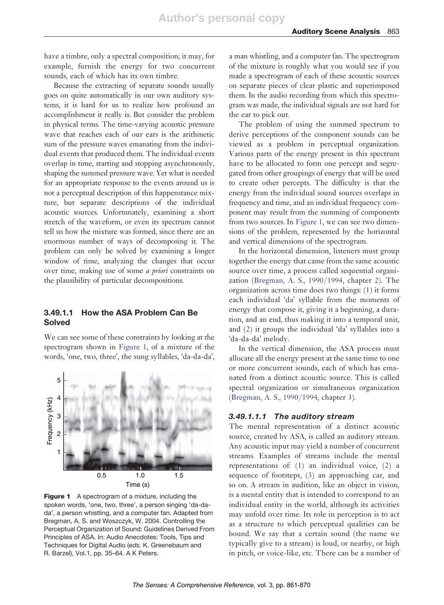<span id="page-3-0"></span>have a timbre, only a spectral composition; it may, for example, furnish the energy for two concurrent sounds, each of which has its own timbre.

Because the extracting of separate sounds usually goes on quite automatically in our own auditory systems, it is hard for us to realize how profound an accomplishment it really is. But consider the problem in physical terms. The time-varying acoustic pressure wave that reaches each of our ears is the arithmetic sum of the pressure waves emanating from the individual events that produced them. The individual events overlap in time, starting and stopping asynchronously, shaping the summed pressure wave. Yet what is needed for an appropriate response to the events around us is not a perceptual description of this happenstance mixture, but separate descriptions of the individual acoustic sources. Unfortunately, examining a short stretch of the waveform, or even its spectrum cannot tell us how the mixture was formed, since there are an enormous number of ways of decomposing it. The problem can only be solved by examining a longer window of time, analyzing the changes that occur over time, making use of some *a priori* constraints on the plausibility of particular decompositions.

#### 3.49.1.1 How the ASA Problem Can Be Solved

We can see some of these constraints by looking at the spectrogram shown in Figure 1, of a mixture of the words, 'one, two, three', the sung syllables, 'da-da-da',



**Figure 1** A spectrogram of a mixture, including the spoken words, 'one, two, three', a person singing 'da-dada', a person whistling, and a computer fan. Adapted from Bregman, A. S. and Woszczyk, W. 2004. Controlling the Perceptual Organization of Sound: Guidelines Derived From Principles of ASA. In: Audio Anecdotes: Tools, Tips and Techniques for Digital Audio (eds. K. Greenebaum and R. Barzel), Vol.1, pp. 35–64. A K Peters.

a man whistling, and a computer fan. The spectrogram of the mixture is roughly what you would see if you made a spectrogram of each of these acoustic sources on separate pieces of clear plastic and superimposed them. In the audio recording from which this spectrogram was made, the individual signals are not hard for the ear to pick out.

The problem of using the summed spectrum to derive perceptions of the component sounds can be viewed as a problem in perceptual organization. Various parts of the energy present in this spectrum have to be allocated to form one percept and segregated from other groupings of energy that will be used to create other percepts. The difficulty is that the energy from the individual sound sources overlaps in frequency and time, and an individual frequency component may result from the summing of components from two sources. In Figure 1, we can see two dimensions of the problem, represented by the horizontal and vertical dimensions of the spectrogram.

In the horizontal dimension, listeners must group together the energy that came from the same acoustic source over time, a process called sequential organization ([Bregman, A. S., 1990/1994,](#page-10-0) chapter 2). The organization across time does two things: (1) it forms each individual 'da' syllable from the moments of energy that compose it, giving it a beginning, a duration, and an end, thus making it into a temporal unit, and (2) it groups the individual 'da' syllables into a 'da-da-da' melody.

In the vertical dimension, the ASA process must allocate all the energy present at the same time to one or more concurrent sounds, each of which has emanated from a distinct acoustic source. This is called spectral organization or simultaneous organization [\(Bregman, A. S., 1990/1994,](#page-10-0) chapter 3).

#### 3.49.1.1.1 The auditory stream

The mental representation of a distinct acoustic source, created by ASA, is called an auditory stream. Any acoustic input may yield a number of concurrent streams. Examples of streams include the mental representations of: (1) an individual voice, (2) a sequence of footsteps, (3) an approaching car, and so on. A stream in audition, like an object in vision, is a mental entity that is intended to correspond to an individual entity in the world, although its activities may unfold over time. Its role in perception is to act as a structure to which perceptual qualities can be bound. We say that a certain sound (the name we typically give to a stream) is loud, or nearby, or high in pitch, or voice-like, etc. There can be a number of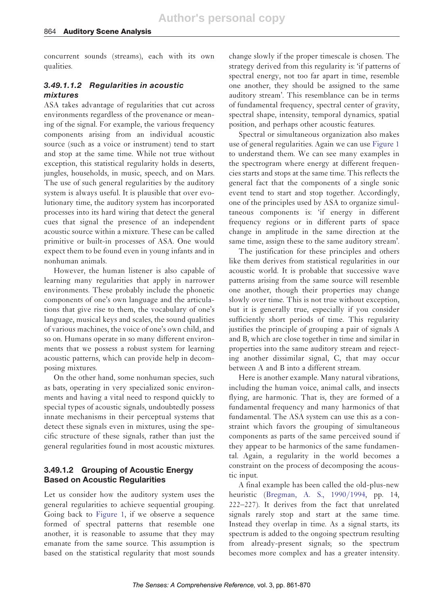concurrent sounds (streams), each with its own qualities.

## 3.49.1.1.2 Regularities in acoustic mixtures

ASA takes advantage of regularities that cut across environments regardless of the provenance or meaning of the signal. For example, the various frequency components arising from an individual acoustic source (such as a voice or instrument) tend to start and stop at the same time. While not true without exception, this statistical regularity holds in deserts, jungles, households, in music, speech, and on Mars. The use of such general regularities by the auditory system is always useful. It is plausible that over evolutionary time, the auditory system has incorporated processes into its hard wiring that detect the general cues that signal the presence of an independent acoustic source within a mixture. These can be called primitive or built-in processes of ASA. One would expect them to be found even in young infants and in nonhuman animals.

However, the human listener is also capable of learning many regularities that apply in narrower environments. These probably include the phonetic components of one's own language and the articulations that give rise to them, the vocabulary of one's language, musical keys and scales, the sound qualities of various machines, the voice of one's own child, and so on. Humans operate in so many different environments that we possess a robust system for learning acoustic patterns, which can provide help in decomposing mixtures.

On the other hand, some nonhuman species, such as bats, operating in very specialized sonic environments and having a vital need to respond quickly to special types of acoustic signals, undoubtedly possess innate mechanisms in their perceptual systems that detect these signals even in mixtures, using the specific structure of these signals, rather than just the general regularities found in most acoustic mixtures.

# 3.49.1.2 Grouping of Acoustic Energy Based on Acoustic Regularities

Let us consider how the auditory system uses the general regularities to achieve sequential grouping. Going back to [Figure 1,](#page-3-0) if we observe a sequence formed of spectral patterns that resemble one another, it is reasonable to assume that they may emanate from the same source. This assumption is based on the statistical regularity that most sounds change slowly if the proper timescale is chosen. The strategy derived from this regularity is: 'if patterns of spectral energy, not too far apart in time, resemble one another, they should be assigned to the same auditory stream'. This resemblance can be in terms of fundamental frequency, spectral center of gravity, spectral shape, intensity, temporal dynamics, spatial position, and perhaps other acoustic features.

Spectral or simultaneous organization also makes use of general regularities. Again we can use [Figure 1](#page-3-0) to understand them. We can see many examples in the spectrogram where energy at different frequencies starts and stops at the same time. This reflects the general fact that the components of a single sonic event tend to start and stop together. Accordingly, one of the principles used by ASA to organize simultaneous components is: 'if energy in different frequency regions or in different parts of space change in amplitude in the same direction at the same time, assign these to the same auditory stream'.

The justification for these principles and others like them derives from statistical regularities in our acoustic world. It is probable that successive wave patterns arising from the same source will resemble one another, though their properties may change slowly over time. This is not true without exception, but it is generally true, especially if you consider sufficiently short periods of time. This regularity justifies the principle of grouping a pair of signals A and B, which are close together in time and similar in properties into the same auditory stream and rejecting another dissimilar signal, C, that may occur between A and B into a different stream.

Here is another example. Many natural vibrations, including the human voice, animal calls, and insects flying, are harmonic. That is, they are formed of a fundamental frequency and many harmonics of that fundamental. The ASA system can use this as a constraint which favors the grouping of simultaneous components as parts of the same perceived sound if they appear to be harmonics of the same fundamental. Again, a regularity in the world becomes a constraint on the process of decomposing the acoustic input.

A final example has been called the old-plus-new heuristic ([Bregman, A. S., 1990/1994](#page-10-0), pp. 14, 222–227). It derives from the fact that unrelated signals rarely stop and start at the same time. Instead they overlap in time. As a signal starts, its spectrum is added to the ongoing spectrum resulting from already-present signals; so the spectrum becomes more complex and has a greater intensity.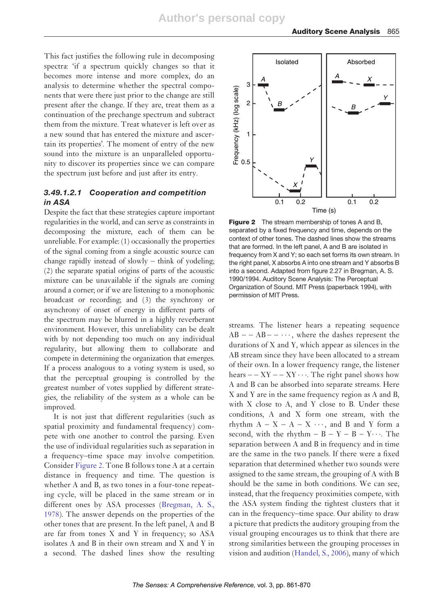This fact justifies the following rule in decomposing spectra: 'if a spectrum quickly changes so that it becomes more intense and more complex, do an analysis to determine whether the spectral components that were there just prior to the change are still present after the change. If they are, treat them as a continuation of the prechange spectrum and subtract them from the mixture. Treat whatever is left over as a new sound that has entered the mixture and ascertain its properties'. The moment of entry of the new sound into the mixture is an unparalleled opportunity to discover its properties since we can compare the spectrum just before and just after its entry.

#### 3.49.1.2.1 Cooperation and competition in ASA

Despite the fact that these strategies capture important regularities in the world, and can serve as constraints in decomposing the mixture, each of them can be unreliable. For example: (1) occasionally the properties of the signal coming from a single acoustic source can change rapidly instead of slowly – think of yodeling; (2) the separate spatial origins of parts of the acoustic mixture can be unavailable if the signals are coming around a corner; or if we are listening to a monophonic broadcast or recording; and (3) the synchrony or asynchrony of onset of energy in different parts of the spectrum may be blurred in a highly reverberant environment. However, this unreliability can be dealt with by not depending too much on any individual regularity, but allowing them to collaborate and compete in determining the organization that emerges. If a process analogous to a voting system is used, so that the perceptual grouping is controlled by the greatest number of votes supplied by different strategies, the reliability of the system as a whole can be improved.

It is not just that different regularities (such as spatial proximity and fundamental frequency) compete with one another to control the parsing. Even the use of individual regularities such as separation in a frequency–time space may involve competition. Consider Figure 2. Tone B follows tone A at a certain distance in frequency and time. The question is whether A and B, as two tones in a four-tone repeating cycle, will be placed in the same stream or in different ones by ASA processes [\(Bregman, A. S.,](#page-10-0) [1978\)](#page-10-0). The answer depends on the properties of the other tones that are present. In the left panel, A and B are far from tones X and Y in frequency; so ASA isolates A and B in their own stream and X and Y in a second. The dashed lines show the resulting



Figure 2 The stream membership of tones A and B, separated by a fixed frequency and time, depends on the context of other tones. The dashed lines show the streams that are formed. In the left panel, A and B are isolated in frequency from X and Y; so each set forms its own stream. In the right panel, X absorbs A into one stream and Y absorbs B into a second. Adapted from figure 2.27 in Bregman, A. S. 1990/1994. Auditory Scene Analysis: The Perceptual Organization of Sound. MIT Press (paperback 1994), with permission of MIT Press.

streams. The listener hears a repeating sequence  $AB - - AB - \cdots$ , where the dashes represent the durations of X and Y, which appear as silences in the AB stream since they have been allocated to a stream of their own. In a lower frequency range, the listener hears  $--XY--XY\cdots$ . The right panel shows how A and B can be absorbed into separate streams. Here X and Y are in the same frequency region as A and B, with X close to A, and Y close to B. Under these conditions, A and X form one stream, with the rhythm  $A - X - A - X \cdots$ , and B and Y form a second, with the rhythm  $- B - Y - B - Y \cdots$ . The separation between A and B in frequency and in time are the same in the two panels. If there were a fixed separation that determined whether two sounds were assigned to the same stream, the grouping of A with B should be the same in both conditions. We can see, instead, that the frequency proximities compete, with the ASA system finding the tightest clusters that it can in the frequency–time space. Our ability to draw a picture that predicts the auditory grouping from the visual grouping encourages us to think that there are strong similarities between the grouping processes in vision and audition [\(Handel, S., 2006\)](#page-10-0), many of which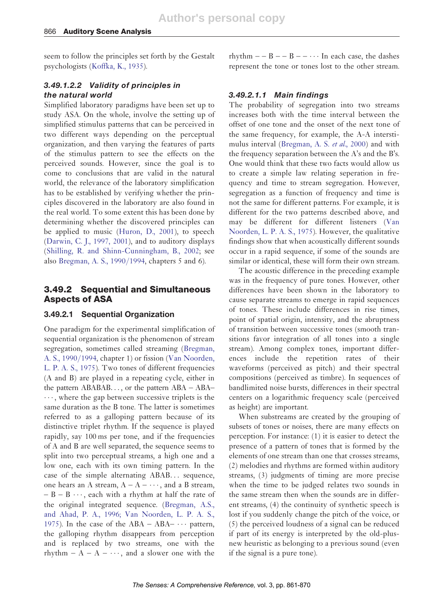seem to follow the principles set forth by the Gestalt psychologists ([Koffka, K., 1935](#page-10-0)).

## 3.49.1.2.2 Validity of principles in the natural world

Simplified laboratory paradigms have been set up to study ASA. On the whole, involve the setting up of simplified stimulus patterns that can be perceived in two different ways depending on the perceptual organization, and then varying the features of parts of the stimulus pattern to see the effects on the perceived sounds. However, since the goal is to come to conclusions that are valid in the natural world, the relevance of the laboratory simplification has to be established by verifying whether the principles discovered in the laboratory are also found in the real world. To some extent this has been done by determining whether the discovered principles can be applied to music ([Huron, D., 2001\)](#page-10-0), to speech [\(Darwin, C. J., 1997, 2001](#page-10-0)), and to auditory displays [\(Shilling, R. and Shinn-Cunningham, B., 2002](#page-10-0); see also [Bregman, A. S., 1990/1994,](#page-10-0) chapters 5 and 6).

## 3.49.2 Sequential and Simultaneous Aspects of ASA

#### 3.49.2.1 Sequential Organization

One paradigm for the experimental simplification of sequential organization is the phenomenon of stream segregation, sometimes called streaming ([Bregman,](#page-10-0) [A. S., 1990/1994](#page-10-0), chapter 1) or fission ([Van Noorden,](#page-10-0) [L. P. A. S., 1975](#page-10-0)). Two tones of different frequencies (A and B) are played in a repeating cycle, either in the pattern ABABAB... , or the pattern ABA – ABA– ..., where the gap between successive triplets is the same duration as the B tone. The latter is sometimes referred to as a galloping pattern because of its distinctive triplet rhythm. If the sequence is played rapidly, say 100 ms per tone, and if the frequencies of A and B are well separated, the sequence seems to split into two perceptual streams, a high one and a low one, each with its own timing pattern. In the case of the simple alternating ABAB... sequence, one hears an A stream,  $A - A - \cdots$ , and a B stream,  $-$  B  $-$  B  $\cdots$ , each with a rhythm at half the rate of the original integrated sequence. [\(Bregman, A.S.,](#page-10-0) [and Ahad, P. A., 1996; Van Noorden, L. P. A. S.,](#page-10-0) [1975\)](#page-10-0). In the case of the  $ABA - ABA - \cdots$  pattern, the galloping rhythm disappears from perception and is replaced by two streams, one with the rhythm  $- A - A - \cdots$ , and a slower one with the

 $r$ hythm  $-$  –  $B$  – –  $B$  –  $\cdots$  In each case, the dashes represent the tone or tones lost to the other stream.

#### 3.49.2.1.1 Main findings

The probability of segregation into two streams increases both with the time interval between the offset of one tone and the onset of the next tone of the same frequency, for example, the A-A interstimulus interval [\(Bregman, A. S.](#page-10-0) *et al.*, 2000) and with the frequency separation between the A's and the B's. One would think that these two facts would allow us to create a simple law relating seperation in frequency and time to stream segregation. However, segregation as a function of frequency and time is not the same for different patterns. For example, it is different for the two patterns described above, and may be different for different listeners ([Van](#page-10-0) [Noorden, L. P. A. S., 1975\)](#page-10-0). However, the qualitative findings show that when acoustically different sounds occur in a rapid sequence, if some of the sounds are similar or identical, these will form their own stream.

The acoustic difference in the preceding example was in the frequency of pure tones. However, other differences have been shown in the laboratory to cause separate streams to emerge in rapid sequences of tones. These include differences in rise times, point of spatial origin, intensity, and the abruptness of transition between successive tones (smooth transitions favor integration of all tones into a single stream). Among complex tones, important differences include the repetition rates of their waveforms (perceived as pitch) and their spectral compositions (perceived as timbre). In sequences of bandlimited noise bursts, differences in their spectral centers on a logarithmic frequency scale (perceived as height) are important.

When substreams are created by the grouping of subsets of tones or noises, there are many effects on perception. For instance: (1) it is easier to detect the presence of a pattern of tones that is formed by the elements of one stream than one that crosses streams, (2) melodies and rhythms are formed within auditory streams, (3) judgments of timing are more precise when the time to be judged relates two sounds in the same stream then when the sounds are in different streams, (4) the continuity of synthetic speech is lost if you suddenly change the pitch of the voice, or (5) the perceived loudness of a signal can be reduced if part of its energy is interpreted by the old-plusnew heuristic as belonging to a previous sound (even if the signal is a pure tone).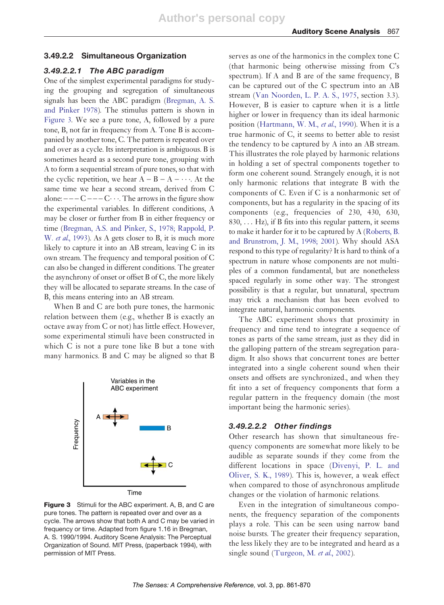#### 3.49.2.2 Simultaneous Organization

#### 3.49.2.2.1 The ABC paradigm

One of the simplest experimental paradigms for studying the grouping and segregation of simultaneous signals has been the ABC paradigm [\(Bregman, A. S.](#page-10-0) [and Pinker 1978\)](#page-10-0). The stimulus pattern is shown in Figure 3. We see a pure tone, A, followed by a pure tone, B, not far in frequency from A. Tone B is accompanied by another tone, C. The pattern is repeated over and over as a cycle. Its interpretation is ambiguous. B is sometimes heard as a second pure tone, grouping with A to form a sequential stream of pure tones, so that with the cyclic repetition, we hear  $A - B - A - \cdots$ . At the same time we hear a second stream, derived from C alone:  $---C---C \cdots$ . The arrows in the figure show the experimental variables. In different conditions, A may be closer or further from B in either frequency or time [\(Bregman, A.S. and Pinker, S., 1978; Rappold, P.](#page-10-0) W. *et al.*[, 1993](#page-10-0)). As A gets closer to B, it is much more likely to capture it into an AB stream, leaving C in its own stream. The frequency and temporal position of C can also be changed in different conditions. The greater the asynchrony of onset or offset B of C, the more likely they will be allocated to separate streams. In the case of B, this means entering into an AB stream.

When B and C are both pure tones, the harmonic relation between them (e.g., whether B is exactly an octave away from C or not) has little effect. However, some experimental stimuli have been constructed in which C is not a pure tone like B but a tone with many harmonics. B and C may be aligned so that B



Figure 3 Stimuli for the ABC experiment. A, B, and C are pure tones. The pattern is repeated over and over as a cycle. The arrows show that both A and C may be varied in frequency or time. Adapted from figure 1.16 in Bregman, A. S. 1990/1994. Auditory Scene Analysis: The Perceptual Organization of Sound. MIT Press, (paperback 1994), with permission of MIT Press.

serves as one of the harmonics in the complex tone C (that harmonic being otherwise missing from C's spectrum). If A and B are of the same frequency, B can be captured out of the C spectrum into an AB stream ([Van Noorden, L. P. A. S., 1975](#page-10-0), section 3.3). However, B is easier to capture when it is a little higher or lower in frequency than its ideal harmonic position ([Hartmann, W. M.,](#page-10-0) *et al.*, 1990). When it is a true harmonic of C, it seems to better able to resist the tendency to be captured by A into an AB stream. This illustrates the role played by harmonic relations in holding a set of spectral components together to form one coherent sound. Strangely enough, it is not only harmonic relations that integrate B with the components of C. Even if C is a nonharmonic set of components, but has a regularity in the spacing of its components (e.g., frequencies of 230, 430, 630,  $830, \ldots$  Hz), if B fits into this regular pattern, it seems to make it harder for it to be captured by A ([Roberts, B.](#page-10-0) [and Brunstrom, J. M., 1998; 2001\)](#page-10-0). Why should ASA respond to this type of regularity? It is hard to think of a spectrum in nature whose components are not multiples of a common fundamental, but are nonetheless spaced regularly in some other way. The strongest possibility is that a regular, but unnatural, spectrum may trick a mechanism that has been evolved to integrate natural, harmonic components.

The ABC experiment shows that proximity in frequency and time tend to integrate a sequence of tones as parts of the same stream, just as they did in the galloping pattern of the stream segregation paradigm. It also shows that concurrent tones are better integrated into a single coherent sound when their onsets and offsets are synchronized., and when they fit into a set of frequency components that form a regular pattern in the frequency domain (the most important being the harmonic series).

#### 3.49.2.2.2 Other findings

Other research has shown that simultaneous frequency components are somewhat more likely to be audible as separate sounds if they come from the different locations in space [\(Divenyi, P. L. and](#page-10-0) [Oliver, S. K., 1989](#page-10-0)). This is, however, a weak effect when compared to those of asynchronous amplitude changes or the violation of harmonic relations.

Even in the integration of simultaneous components, the frequency separation of the components plays a role. This can be seen using narrow band noise bursts. The greater their frequency separation, the less likely they are to be integrated and heard as a single sound [\(Turgeon, M.](#page-10-0) *et al.*, 2002).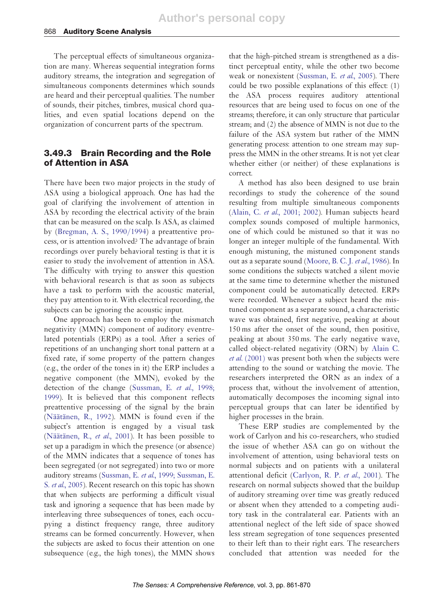The perceptual effects of simultaneous organization are many. Whereas sequential integration forms auditory streams, the integration and segregation of simultaneous components determines which sounds are heard and their perceptual qualities. The number of sounds, their pitches, timbres, musical chord qualities, and even spatial locations depend on the organization of concurrent parts of the spectrum.

## 3.49.3 Brain Recording and the Role of Attention in ASA

There have been two major projects in the study of ASA using a biological approach. One has had the goal of clarifying the involvement of attention in ASA by recording the electrical activity of the brain that can be measured on the scalp. Is ASA, as claimed by ([Bregman, A. S., 1990/1994](#page-10-0)) a preattentive process, or is attention involved? The advantage of brain recordings over purely behavioral testing is that it is easier to study the involvement of attention in ASA. The difficulty with trying to answer this question with behavioral research is that as soon as subjects have a task to perform with the acoustic material, they pay attention to it. With electrical recording, the subjects can be ignoring the acoustic input.

One approach has been to employ the mismatch negativity (MMN) component of auditory eventrelated potentials (ERPs) as a tool. After a series of repetitions of an unchanging short tonal pattern at a fixed rate, if some property of the pattern changes (e.g., the order of the tones in it) the ERP includes a negative component (the MMN), evoked by the detection of the change [\(Sussman, E.](#page-10-0) *et al.*, 1998; [1999\)](#page-10-0). It is believed that this component reflects preattentive processing of the signal by the brain (Näätänen, R., 1992). MMN is found even if the subject's attention is engaged by a visual task (Näätänen, R., et al., 2001). It has been possible to set up a paradigm in which the presence (or absence) of the MMN indicates that a sequence of tones has been segregated (or not segregated) into two or more auditory streams (Sussman, E. *et al.*[, 1999; Sussman, E.](#page-10-0) S. *et al.*[, 2005\)](#page-10-0). Recent research on this topic has shown that when subjects are performing a difficult visual task and ignoring a sequence that has been made by interleaving three subsequences of tones, each occupying a distinct frequency range, three auditory streams can be formed concurrently. However, when the subjects are asked to focus their attention on one subsequence (e.g., the high tones), the MMN shows that the high-pitched stream is strengthened as a distinct perceptual entity, while the other two become weak or nonexistent [\(Sussman, E.](#page-10-0) *et al.*, 2005). There could be two possible explanations of this effect: (1) the ASA process requires auditory attentional resources that are being used to focus on one of the streams; therefore, it can only structure that particular stream; and (2) the absence of MMN is not due to the failure of the ASA system but rather of the MMN generating process: attention to one stream may suppress the MMN in the other streams. It is not yet clear whether either (or neither) of these explanations is correct.

A method has also been designed to use brain recordings to study the coherence of the sound resulting from multiple simultaneous components (Alain, C. *et al.*[, 2001; 2002\)](#page-10-0). Human subjects heard complex sounds composed of multiple harmonics, one of which could be mistuned so that it was no longer an integer multiple of the fundamental. With enough mistuning, the mistuned component stands out as a separate sound [\(Moore, B. C. J.](#page-10-0) *et al.*, 1986). In some conditions the subjects watched a silent movie at the same time to determine whether the mistuned component could be automatically detected. ERPs were recorded. Whenever a subject heard the mistuned component as a separate sound, a characteristic wave was obtained, first negative, peaking at about 150 ms after the onset of the sound, then positive, peaking at about 350 ms. The early negative wave, called object-related negativity (ORN) by [Alain C.](#page-10-0) *et al.* [\(2001\)](#page-10-0) was present both when the subjects were attending to the sound or watching the movie. The researchers interpreted the ORN as an index of a process that, without the involvement of attention, automatically decomposes the incoming signal into perceptual groups that can later be identified by higher processes in the brain.

These ERP studies are complemented by the work of Carlyon and his co-researchers, who studied the issue of whether ASA can go on without the involvement of attention, using behavioral tests on normal subjects and on patients with a unilateral attentional deficit [\(Carlyon, R. P.](#page-10-0) *et al.*, 2001). The research on normal subjects showed that the buildup of auditory streaming over time was greatly reduced or absent when they attended to a competing auditory task in the contralateral ear. Patients with an attentional neglect of the left side of space showed less stream segregation of tone sequences presented to their left than to their right ears. The researchers concluded that attention was needed for the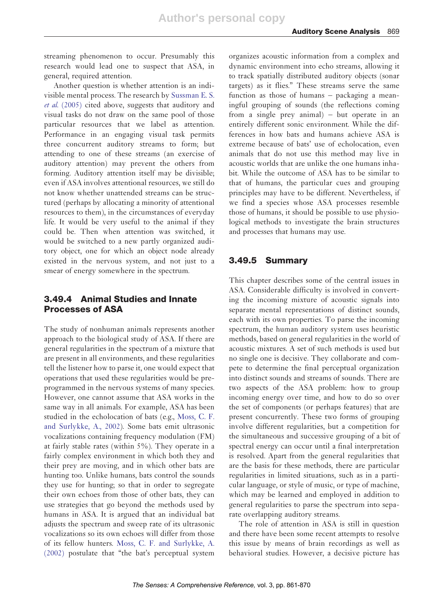streaming phenomenon to occur. Presumably this research would lead one to suspect that ASA, in general, required attention.

Another question is whether attention is an indivisible mental process. The research by [Sussman E. S.](#page-10-0) *et al.* [\(2005\)](#page-10-0) cited above, suggests that auditory and visual tasks do not draw on the same pool of those particular resources that we label as attention. Performance in an engaging visual task permits three concurrent auditory streams to form; but attending to one of these streams (an exercise of auditory attention) may prevent the others from forming. Auditory attention itself may be divisible; even if ASA involves attentional resources, we still do not know whether unattended streams can be structured (perhaps by allocating a minority of attentional resources to them), in the circumstances of everyday life. It would be very useful to the animal if they could be. Then when attention was switched, it would be switched to a new partly organized auditory object, one for which an object node already existed in the nervous system, and not just to a smear of energy somewhere in the spectrum.

# 3.49.4 Animal Studies and Innate Processes of ASA

The study of nonhuman animals represents another approach to the biological study of ASA. If there are general regularities in the spectrum of a mixture that are present in all environments, and these regularities tell the listener how to parse it, one would expect that operations that used these regularities would be preprogrammed in the nervous systems of many species. However, one cannot assume that ASA works in the same way in all animals. For example, ASA has been studied in the echolocation of bats (e.g., [Moss, C. F.](#page-10-0) [and Surlykke, A., 2002\)](#page-10-0). Some bats emit ultrasonic vocalizations containing frequency modulation (FM) at fairly stable rates (within 5%). They operate in a fairly complex environment in which both they and their prey are moving, and in which other bats are hunting too. Unlike humans, bats control the sounds they use for hunting; so that in order to segregate their own echoes from those of other bats, they can use strategies that go beyond the methods used by humans in ASA. It is argued that an individual bat adjusts the spectrum and sweep rate of its ultrasonic vocalizations so its own echoes will differ from those of its fellow hunters. [Moss, C. F. and Surlykke, A.](#page-10-0) [\(2002\)](#page-10-0) postulate that ''the bat's perceptual system organizes acoustic information from a complex and dynamic environment into echo streams, allowing it to track spatially distributed auditory objects (sonar targets) as it flies.'' These streams serve the same function as those of humans – packaging a meaningful grouping of sounds (the reflections coming from a single prey animal) – but operate in an entirely different sonic environment. While the differences in how bats and humans achieve ASA is extreme because of bats' use of echolocation, even animals that do not use this method may live in acoustic worlds that are unlike the one humans inhabit. While the outcome of ASA has to be similar to that of humans, the particular cues and grouping principles may have to be different. Nevertheless, if we find a species whose ASA processes resemble those of humans, it should be possible to use physiological methods to investigate the brain structures and processes that humans may use.

#### 3.49.5 Summary

This chapter describes some of the central issues in ASA. Considerable difficulty is involved in converting the incoming mixture of acoustic signals into separate mental representations of distinct sounds, each with its own properties. To parse the incoming spectrum, the human auditory system uses heuristic methods, based on general regularities in the world of acoustic mixtures. A set of such methods is used but no single one is decisive. They collaborate and compete to determine the final perceptual organization into distinct sounds and streams of sounds. There are two aspects of the ASA problem: how to group incoming energy over time, and how to do so over the set of components (or perhaps features) that are present concurrently. These two forms of grouping involve different regularities, but a competition for the simultaneous and successive grouping of a bit of spectral energy can occur until a final interpretation is resolved. Apart from the general regularities that are the basis for these methods, there are particular regularities in limited situations, such as in a particular language, or style of music, or type of machine, which may be learned and employed in addition to general regularities to parse the spectrum into separate overlapping auditory streams.

The role of attention in ASA is still in question and there have been some recent attempts to resolve this issue by means of brain recordings as well as behavioral studies. However, a decisive picture has